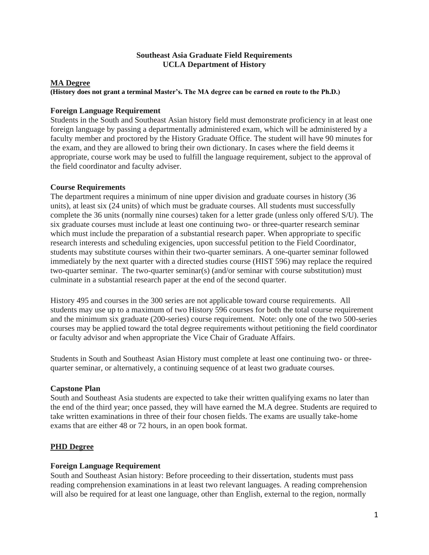## **Southeast Asia Graduate Field Requirements UCLA Department of History**

### **MA Degree**

#### **(History does not grant a terminal Master's. The MA degree can be earned en route to the Ph.D.)**

#### **Foreign Language Requirement**

Students in the South and Southeast Asian history field must demonstrate proficiency in at least one foreign language by passing a departmentally administered exam, which will be administered by a faculty member and proctored by the History Graduate Office. The student will have 90 minutes for the exam, and they are allowed to bring their own dictionary. In cases where the field deems it appropriate, course work may be used to fulfill the language requirement, subject to the approval of the field coordinator and faculty adviser.

## **Course Requirements**

The department requires a minimum of nine upper division and graduate courses in history (36 units), at least six (24 units) of which must be graduate courses. All students must successfully complete the 36 units (normally nine courses) taken for a letter grade (unless only offered S/U). The six graduate courses must include at least one continuing two- or three-quarter research seminar which must include the preparation of a substantial research paper. When appropriate to specific research interests and scheduling exigencies, upon successful petition to the Field Coordinator, students may substitute courses within their two-quarter seminars. A one-quarter seminar followed immediately by the next quarter with a directed studies course (HIST 596) may replace the required two-quarter seminar. The two-quarter seminar(s) (and/or seminar with course substitution) must culminate in a substantial research paper at the end of the second quarter.

History 495 and courses in the 300 series are not applicable toward course requirements. All students may use up to a maximum of two History 596 courses for both the total course requirement and the minimum six graduate (200-series) course requirement. Note: only one of the two 500-series courses may be applied toward the total degree requirements without petitioning the field coordinator or faculty advisor and when appropriate the Vice Chair of Graduate Affairs.

Students in South and Southeast Asian History must complete at least one continuing two- or threequarter seminar, or alternatively, a continuing sequence of at least two graduate courses.

#### **Capstone Plan**

South and Southeast Asia students are expected to take their written qualifying exams no later than the end of the third year; once passed, they will have earned the M.A degree. Students are required to take written examinations in three of their four chosen fields. The exams are usually take-home exams that are either 48 or 72 hours, in an open book format.

# **PHD Degree**

#### **Foreign Language Requirement**

South and Southeast Asian history: Before proceeding to their dissertation, students must pass reading comprehension examinations in at least two relevant languages. A reading comprehension will also be required for at least one language, other than English, external to the region, normally